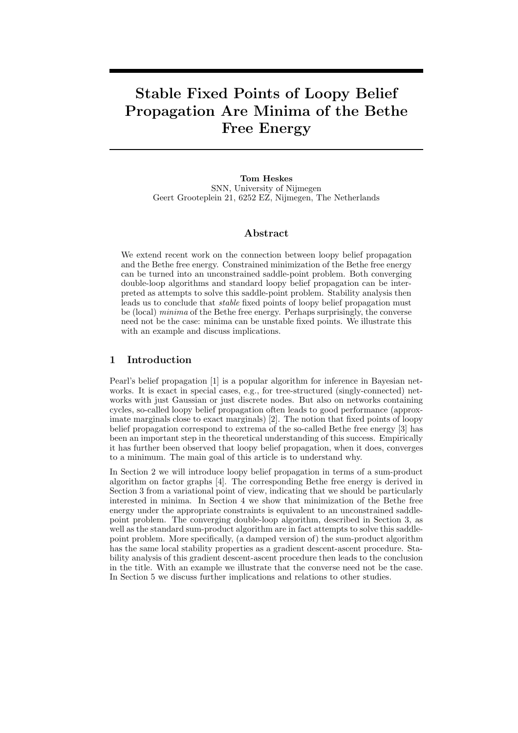# Stable Fixed Points of Loopy Belief Propagation Are Minima of the Bethe Free Energy

Tom Heskes SNN, University of Nijmegen Geert Grooteplein 21, 6252 EZ, Nijmegen, The Netherlands

#### Abstract

We extend recent work on the connection between loopy belief propagation and the Bethe free energy. Constrained minimization of the Bethe free energy can be turned into an unconstrained saddle-point problem. Both converging double-loop algorithms and standard loopy belief propagation can be interpreted as attempts to solve this saddle-point problem. Stability analysis then leads us to conclude that stable fixed points of loopy belief propagation must be (local) minima of the Bethe free energy. Perhaps surprisingly, the converse need not be the case: minima can be unstable fixed points. We illustrate this with an example and discuss implications.

## 1 Introduction

Pearl's belief propagation [1] is a popular algorithm for inference in Bayesian networks. It is exact in special cases, e.g., for tree-structured (singly-connected) networks with just Gaussian or just discrete nodes. But also on networks containing cycles, so-called loopy belief propagation often leads to good performance (approximate marginals close to exact marginals) [2]. The notion that fixed points of loopy belief propagation correspond to extrema of the so-called Bethe free energy [3] has been an important step in the theoretical understanding of this success. Empirically it has further been observed that loopy belief propagation, when it does, converges to a minimum. The main goal of this article is to understand why.

In Section 2 we will introduce loopy belief propagation in terms of a sum-product algorithm on factor graphs [4]. The corresponding Bethe free energy is derived in Section 3 from a variational point of view, indicating that we should be particularly interested in minima. In Section 4 we show that minimization of the Bethe free energy under the appropriate constraints is equivalent to an unconstrained saddlepoint problem. The converging double-loop algorithm, described in Section 3, as well as the standard sum-product algorithm are in fact attempts to solve this saddlepoint problem. More specifically, (a damped version of) the sum-product algorithm has the same local stability properties as a gradient descent-ascent procedure. Stability analysis of this gradient descent-ascent procedure then leads to the conclusion in the title. With an example we illustrate that the converse need not be the case. In Section 5 we discuss further implications and relations to other studies.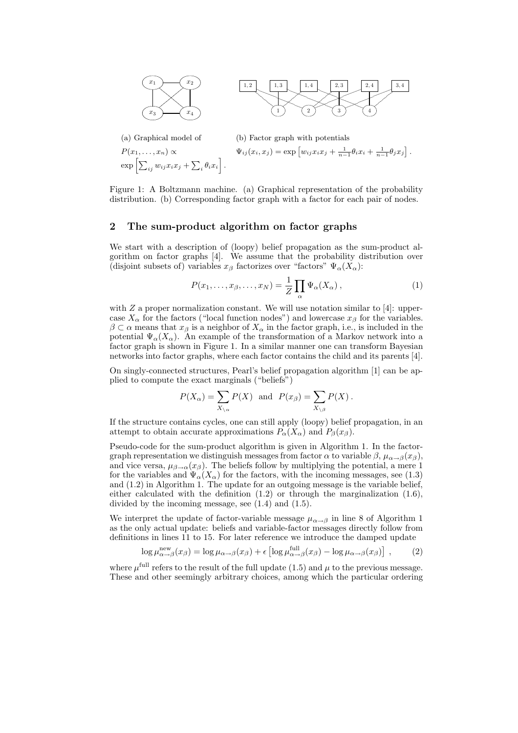



 $e<sub>2</sub>$ 

(a) Graphical model of (b) Factor graph with potentials

$$
P(x_1,...,x_n) \propto \Psi_{ij}(x_i,x_j) = \exp\left[w_{ij}x_ix_j + \frac{1}{n-1}\theta_ix_i + \frac{1}{n-1}\theta_jx_j\right].
$$
  

$$
\exp\left[\sum_{ij} w_{ij}x_ix_j + \sum_i \theta_i x_i\right].
$$

Figure 1: A Boltzmann machine. (a) Graphical representation of the probability distribution. (b) Corresponding factor graph with a factor for each pair of nodes.

# 2 The sum-product algorithm on factor graphs

We start with a description of (loopy) belief propagation as the sum-product algorithm on factor graphs [4]. We assume that the probability distribution over (disjoint subsets of) variables  $x_\beta$  factorizes over "factors"  $\Psi_\alpha(X_\alpha)$ :

$$
P(x_1, \ldots, x_\beta, \ldots, x_N) = \frac{1}{Z} \prod_{\alpha} \Psi_{\alpha}(X_{\alpha}), \qquad (1)
$$

with Z a proper normalization constant. We will use notation similar to [4]: uppercase  $X_{\alpha}$  for the factors ("local function nodes") and lowercase  $x_{\beta}$  for the variables.  $\beta \subset \alpha$  means that  $x_{\beta}$  is a neighbor of  $X_{\alpha}$  in the factor graph, i.e., is included in the potential  $\Psi_{\alpha}(X_{\alpha})$ . An example of the transformation of a Markov network into a factor graph is shown in Figure 1. In a similar manner one can transform Bayesian networks into factor graphs, where each factor contains the child and its parents [4].

On singly-connected structures, Pearl's belief propagation algorithm [1] can be applied to compute the exact marginals ("beliefs")

$$
P(X_{\alpha}) = \sum_{X_{\setminus \alpha}} P(X)
$$
 and  $P(x_{\beta}) = \sum_{X_{\setminus \beta}} P(X)$ .

If the structure contains cycles, one can still apply (loopy) belief propagation, in an attempt to obtain accurate approximations  $P_{\alpha}(X_{\alpha})$  and  $P_{\beta}(x_{\beta})$ .

Pseudo-code for the sum-product algorithm is given in Algorithm 1. In the factorgraph representation we distinguish messages from factor  $\alpha$  to variable  $\beta$ ,  $\mu_{\alpha\rightarrow\beta}(x_{\beta})$ , and vice versa,  $\mu_{\beta \to \alpha}(x_\beta)$ . The beliefs follow by multiplying the potential, a mere 1 for the variables and  $\Psi_{\alpha}(X_{\alpha})$  for the factors, with the incoming messages, see (1.3) and (1.2) in Algorithm 1. The update for an outgoing message is the variable belief, either calculated with the definition (1.2) or through the marginalization (1.6), divided by the incoming message, see (1.4) and (1.5).

We interpret the update of factor-variable message  $\mu_{\alpha \to \beta}$  in line 8 of Algorithm 1 as the only actual update: beliefs and variable-factor messages directly follow from definitions in lines 11 to 15. For later reference we introduce the damped update

$$
\log \mu_{\alpha \to \beta}^{\text{new}}(x_{\beta}) = \log \mu_{\alpha \to \beta}(x_{\beta}) + \epsilon \left[ \log \mu_{\alpha \to \beta}^{\text{full}}(x_{\beta}) - \log \mu_{\alpha \to \beta}(x_{\beta}) \right] , \quad (2)
$$

where  $\mu^{\text{full}}$  refers to the result of the full update (1.5) and  $\mu$  to the previous message. These and other seemingly arbitrary choices, among which the particular ordering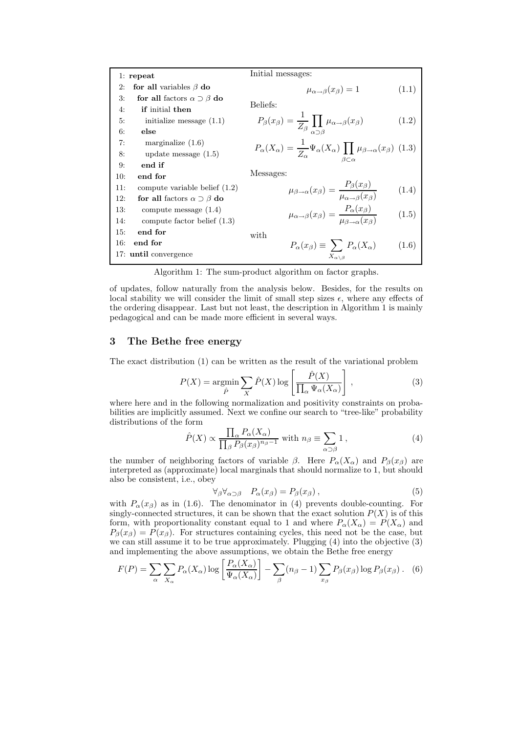|     | $1:$ repeat                               | Initial messages:                                                                                                                              |       |
|-----|-------------------------------------------|------------------------------------------------------------------------------------------------------------------------------------------------|-------|
| 2:  | for all variables $\beta$ do              | $\mu_{\alpha \rightarrow \beta}(x_{\beta}) = 1$                                                                                                | (1.1) |
| 3:  | for all factors $\alpha \supset \beta$ do |                                                                                                                                                |       |
| 4:  | if initial then                           | Beliefs:                                                                                                                                       |       |
| 5:  | initialize message $(1.1)$                | $P_{\beta}(x_{\beta}) = \frac{1}{Z_{\beta}} \prod_{\alpha \supset \beta} \mu_{\alpha \to \beta}(x_{\beta})$                                    | (1.2) |
| 6:  | else                                      |                                                                                                                                                |       |
| 7:  | marginalize $(1.6)$                       |                                                                                                                                                |       |
| 8:  | update message $(1.5)$                    | $P_{\alpha}(X_{\alpha}) = \frac{1}{Z_{\alpha}} \Psi_{\alpha}(X_{\alpha}) \prod_{\beta \subset \alpha} \mu_{\beta \to \alpha}(x_{\beta})$ (1.3) |       |
| 9:  | end if                                    |                                                                                                                                                |       |
| 10: | end for                                   | Messages:                                                                                                                                      |       |
| 11: | compute variable belief $(1.2)$           | $\mu_{\beta \to \alpha}(x_{\beta}) = \frac{P_{\beta}(x_{\beta})}{\mu_{\alpha \to \beta}(x_{\beta})}$                                           | (1.4) |
| 12: | for all factors $\alpha \supset \beta$ do |                                                                                                                                                |       |
| 13: | compute message $(1.4)$                   | $\mu_{\alpha \to \beta}(x_{\beta}) = \frac{P_{\alpha}(x_{\beta})}{\mu_{\beta \to \alpha}(x_{\beta})}$                                          | (1.5) |
| 14: | compute factor belief $(1.3)$             |                                                                                                                                                |       |
| 15: | end for                                   | with                                                                                                                                           |       |
| 16: | end for                                   | $P_{\alpha}(x_{\beta}) \equiv \sum P_{\alpha}(X_{\alpha})$                                                                                     | (1.6) |
|     | 17: until convergence                     | $X_{\alpha\setminus\beta}$                                                                                                                     |       |

Algorithm 1: The sum-product algorithm on factor graphs.

of updates, follow naturally from the analysis below. Besides, for the results on local stability we will consider the limit of small step sizes  $\epsilon$ , where any effects of the ordering disappear. Last but not least, the description in Algorithm 1 is mainly pedagogical and can be made more efficient in several ways.

#### 3 The Bethe free energy

The exact distribution (1) can be written as the result of the variational problem

$$
P(X) = \underset{\hat{P}}{\operatorname{argmin}} \sum_{X} \hat{P}(X) \log \left[ \frac{\hat{P}(X)}{\prod_{\alpha} \Psi_{\alpha}(X_{\alpha})} \right],
$$
 (3)

where here and in the following normalization and positivity constraints on probabilities are implicitly assumed. Next we confine our search to "tree-like" probability distributions of the form

$$
\hat{P}(X) \propto \frac{\prod_{\alpha} P_{\alpha}(X_{\alpha})}{\prod_{\beta} P_{\beta}(x_{\beta})^{n_{\beta}-1}} \text{ with } n_{\beta} \equiv \sum_{\alpha \supset \beta} 1 ,
$$
\n(4)

the number of neighboring factors of variable  $\beta$ . Here  $P_{\alpha}(X_{\alpha})$  and  $P_{\beta}(x_{\beta})$  are interpreted as (approximate) local marginals that should normalize to 1, but should also be consistent, i.e., obey

$$
\forall_{\beta} \forall_{\alpha \supset \beta} \quad P_{\alpha}(x_{\beta}) = P_{\beta}(x_{\beta}) \,, \tag{5}
$$

with  $P_{\alpha}(x_{\beta})$  as in (1.6). The denominator in (4) prevents double-counting. For singly-connected structures, it can be shown that the exact solution  $P(X)$  is of this form, with proportionality constant equal to 1 and where  $P_{\alpha}(X_{\alpha}) = P(X_{\alpha})$  and  $P_{\beta}(x_{\beta}) = P(x_{\beta})$ . For structures containing cycles, this need not be the case, but we can still assume it to be true approximately. Plugging (4) into the objective (3) and implementing the above assumptions, we obtain the Bethe free energy

$$
F(P) = \sum_{\alpha} \sum_{X_{\alpha}} P_{\alpha}(X_{\alpha}) \log \left[ \frac{P_{\alpha}(X_{\alpha})}{\Psi_{\alpha}(X_{\alpha})} \right] - \sum_{\beta} (n_{\beta} - 1) \sum_{x_{\beta}} P_{\beta}(x_{\beta}) \log P_{\beta}(x_{\beta}). \quad (6)
$$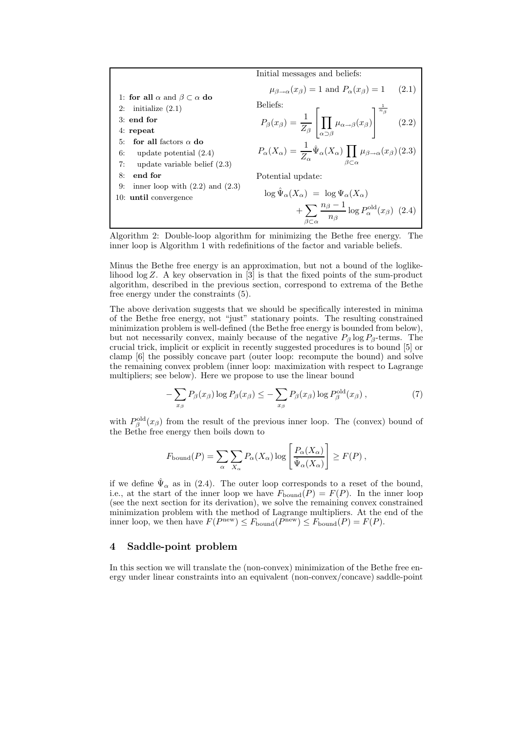

Algorithm 2: Double-loop algorithm for minimizing the Bethe free energy. The inner loop is Algorithm 1 with redefinitions of the factor and variable beliefs.

Minus the Bethe free energy is an approximation, but not a bound of the loglikelihood  $\log Z$ . A key observation in [3] is that the fixed points of the sum-product algorithm, described in the previous section, correspond to extrema of the Bethe free energy under the constraints (5).

The above derivation suggests that we should be specifically interested in minima of the Bethe free energy, not "just" stationary points. The resulting constrained minimization problem is well-defined (the Bethe free energy is bounded from below), but not necessarily convex, mainly because of the negative  $P_\beta \log P_\beta$ -terms. The crucial trick, implicit or explicit in recently suggested procedures is to bound [5] or clamp [6] the possibly concave part (outer loop: recompute the bound) and solve the remaining convex problem (inner loop: maximization with respect to Lagrange multipliers; see below). Here we propose to use the linear bound

$$
-\sum_{x_{\beta}} P_{\beta}(x_{\beta}) \log P_{\beta}(x_{\beta}) \le -\sum_{x_{\beta}} P_{\beta}(x_{\beta}) \log P_{\beta}^{\text{old}}(x_{\beta}), \tag{7}
$$

with  $P_{\beta}^{\text{old}}(x_{\beta})$  from the result of the previous inner loop. The (convex) bound of the Bethe free energy then boils down to

$$
F_{\text{bound}}(P) = \sum_{\alpha} \sum_{X_{\alpha}} P_{\alpha}(X_{\alpha}) \log \left[ \frac{P_{\alpha}(X_{\alpha})}{\hat{\Psi}_{\alpha}(X_{\alpha})} \right] \ge F(P) ,
$$

if we define  $\hat{\Psi}_{\alpha}$  as in (2.4). The outer loop corresponds to a reset of the bound, i.e., at the start of the inner loop we have  $F_{\text{bound}}(P) = F(P)$ . In the inner loop (see the next section for its derivation), we solve the remaining convex constrained minimization problem with the method of Lagrange multipliers. At the end of the inner loop, we then have  $F(P^{new}) \leq F_{\text{bound}}(P^{new}) \leq F_{\text{bound}}(P) = F(P)$ .

#### 4 Saddle-point problem

In this section we will translate the (non-convex) minimization of the Bethe free energy under linear constraints into an equivalent (non-convex/concave) saddle-point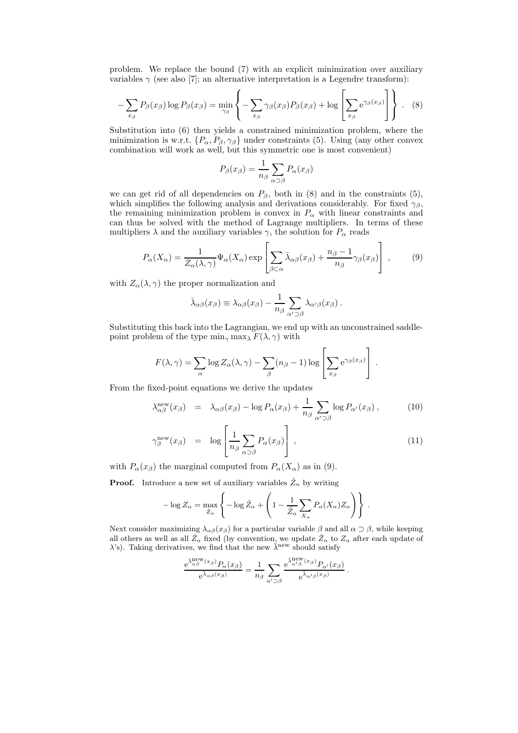problem. We replace the bound (7) with an explicit minimization over auxiliary variables  $\gamma$  (see also [7]; an alternative interpretation is a Legendre transform):

$$
-\sum_{x_{\beta}} P_{\beta}(x_{\beta}) \log P_{\beta}(x_{\beta}) = \min_{\gamma_{\beta}} \left\{-\sum_{x_{\beta}} \gamma_{\beta}(x_{\beta}) P_{\beta}(x_{\beta}) + \log \left[\sum_{x_{\beta}} e^{\gamma_{\beta}(x_{\beta})}\right]\right\}.
$$
 (8)

Substitution into (6) then yields a constrained minimization problem, where the minimization is w.r.t.  $\{P_{\alpha}, P_{\beta}, \gamma_{\beta}\}\$ under constraints (5). Using (any other convex combination will work as well, but this symmetric one is most convenient)

$$
P_{\beta}(x_{\beta}) = \frac{1}{n_{\beta}} \sum_{\alpha \supset \beta} P_{\alpha}(x_{\beta})
$$

we can get rid of all dependencies on  $P_\beta$ , both in (8) and in the constraints (5), which simplifies the following analysis and derivations considerably. For fixed  $\gamma_{\beta}$ , the remaining minimization problem is convex in  $P_{\alpha}$  with linear constraints and can thus be solved with the method of Lagrange multipliers. In terms of these multipliers  $\lambda$  and the auxiliary variables  $\gamma$ , the solution for  $P_{\alpha}$  reads

$$
P_{\alpha}(X_{\alpha}) = \frac{1}{Z_{\alpha}(\lambda, \gamma)} \Psi_{\alpha}(X_{\alpha}) \exp \left[\sum_{\beta \subset \alpha} \bar{\lambda}_{\alpha\beta}(x_{\beta}) + \frac{n_{\beta} - 1}{n_{\beta}} \gamma_{\beta}(x_{\beta})\right],
$$
 (9)

with  $Z_{\alpha}(\lambda, \gamma)$  the proper normalization and

$$
\bar{\lambda}_{\alpha\beta}(x_{\beta}) \equiv \lambda_{\alpha\beta}(x_{\beta}) - \frac{1}{n_{\beta}} \sum_{\alpha' \supset \beta} \lambda_{\alpha'\beta}(x_{\beta}).
$$

Substituting this back into the Lagrangian, we end up with an unconstrained saddlepoint problem of the type  $\min_{\gamma} \max_{\lambda} F(\lambda, \gamma)$  with

$$
F(\lambda, \gamma) = \sum_{\alpha} \log Z_{\alpha}(\lambda, \gamma) - \sum_{\beta} (n_{\beta} - 1) \log \left[ \sum_{x_{\beta}} e^{\gamma_{\beta}(x_{\beta})} \right].
$$

From the fixed-point equations we derive the updates

$$
\lambda_{\alpha\beta}^{\text{new}}(x_{\beta}) = \lambda_{\alpha\beta}(x_{\beta}) - \log P_{\alpha}(x_{\beta}) + \frac{1}{n_{\beta}} \sum_{\alpha' \supset \beta} \log P_{\alpha'}(x_{\beta}), \quad (10)
$$

$$
\gamma_{\beta}^{\text{new}}(x_{\beta}) = \log \left[ \frac{1}{n_{\beta}} \sum_{\alpha \supset \beta} P_{\alpha}(x_{\beta}) \right], \qquad (11)
$$

with  $P_{\alpha}(x_{\beta})$  the marginal computed from  $P_{\alpha}(X_{\alpha})$  as in (9).

**Proof.** Introduce a new set of auxiliary variables  $\hat{Z}_{\alpha}$  by writing

$$
-\log Z_{\alpha} = \max_{\hat{Z}_{\alpha}} \left\{-\log \hat{Z}_{\alpha} + \left(1 - \frac{1}{\hat{Z}_{\alpha}} \sum_{X_{\alpha}} P_{\alpha}(X_{\alpha}) Z_{\alpha}\right)\right\}.
$$

Next consider maximizing  $\lambda_{\alpha\beta}(x_\beta)$  for a particular variable  $\beta$  and all  $\alpha \supset \beta$ , while keeping all others as well as all  $\hat{Z}_{\alpha}$  fixed (by convention, we update  $\hat{Z}_{\alpha}$  to  $Z_{\alpha}$  after each update of  $\lambda$ 's). Taking derivatives, we find that the new  $\bar{\lambda}^{\text{new}}$  should satisfy

$$
\frac{\mathrm{e}^{\bar{\lambda}^{\mathrm{new}}_{\alpha\beta}(x_\beta)}P_\alpha(x_\beta)}{\mathrm{e}^{\bar{\lambda}_{\alpha\beta}(x_\beta)}}=\frac{1}{n_\beta}\sum_{\alpha'\supset \beta}\frac{\mathrm{e}^{\bar{\lambda}^{\mathrm{new}}_{\alpha'\beta}(x_\beta)}P_{\alpha'}(x_\beta)}{\mathrm{e}^{\bar{\lambda}_{\alpha'\beta}(x_\beta)}}\,.
$$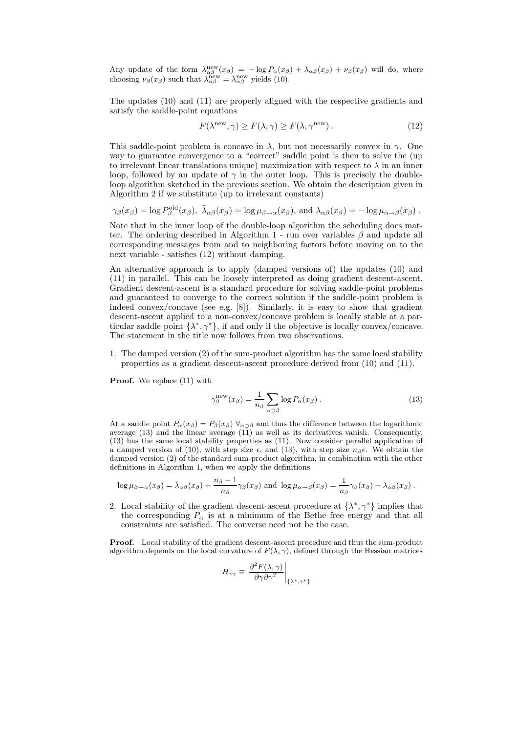Any update of the form  $\lambda_{\alpha\beta}^{\text{new}}(x_{\beta}) = -\log P_{\alpha}(x_{\beta}) + \lambda_{\alpha\beta}(x_{\beta}) + \nu_{\beta}(x_{\beta})$  will do, where choosing  $\nu_\beta(x_\beta)$  such that  $\lambda_{\alpha\beta}^{\text{new}} = \bar{\lambda}_{\alpha\beta}^{\text{new}}$  yields (10).

The updates (10) and (11) are properly aligned with the respective gradients and satisfy the saddle-point equations

$$
F(\lambda^{\text{new}}, \gamma) \ge F(\lambda, \gamma) \ge F(\lambda, \gamma^{\text{new}}). \tag{12}
$$

This saddle-point problem is concave in  $\lambda$ , but not necessarily convex in  $\gamma$ . One way to guarantee convergence to a "correct" saddle point is then to solve the (up to irrelevant linear translations unique) maximization with respect to  $\lambda$  in an inner loop, followed by an update of  $\gamma$  in the outer loop. This is precisely the doubleloop algorithm sketched in the previous section. We obtain the description given in Algorithm 2 if we substitute (up to irrelevant constants)

$$
\gamma_{\beta}(x_{\beta}) = \log P_{\beta}^{\text{old}}(x_{\beta}), \ \bar{\lambda}_{\alpha\beta}(x_{\beta}) = \log \mu_{\beta \to \alpha}(x_{\beta}), \text{ and } \lambda_{\alpha\beta}(x_{\beta}) = -\log \mu_{\alpha \to \beta}(x_{\beta}).
$$

Note that in the inner loop of the double-loop algorithm the scheduling does matter. The ordering described in Algorithm 1 - run over variables  $\beta$  and update all corresponding messages from and to neighboring factors before moving on to the next variable - satisfies (12) without damping.

An alternative approach is to apply (damped versions of) the updates (10) and (11) in parallel. This can be loosely interpreted as doing gradient descent-ascent. Gradient descent-ascent is a standard procedure for solving saddle-point problems and guaranteed to converge to the correct solution if the saddle-point problem is indeed convex/concave (see e.g. [8]). Similarly, it is easy to show that gradient descent-ascent applied to a non-convex/concave problem is locally stable at a particular saddle point  $\{\lambda^*, \gamma^*\}$ , if and only if the objective is locally convex/concave. The statement in the title now follows from two observations.

1. The damped version (2) of the sum-product algorithm has the same local stability properties as a gradient descent-ascent procedure derived from (10) and (11).

Proof. We replace  $(11)$  with

$$
\gamma_{\beta}^{\text{new}}(x_{\beta}) = \frac{1}{n_{\beta}} \sum_{\alpha \supset \beta} \log P_{\alpha}(x_{\beta}). \tag{13}
$$

At a saddle point  $P_{\alpha}(x_{\beta}) = P_{\beta}(x_{\beta}) \ \forall_{\alpha \supset \beta}$  and thus the difference between the logarithmic average (13) and the linear average (11) as well as its derivatives vanish. Consequently, (13) has the same local stability properties as (11). Now consider parallel application of a damped version of (10), with step size  $\epsilon$ , and (13), with step size  $n_{\beta} \epsilon$ . We obtain the damped version (2) of the standard sum-product algorithm, in combination with the other definitions in Algorithm 1, when we apply the definitions

$$
\log \mu_{\beta \to \alpha}(x_{\beta}) = \bar{\lambda}_{\alpha\beta}(x_{\beta}) + \frac{n_{\beta} - 1}{n_{\beta}} \gamma_{\beta}(x_{\beta}) \text{ and } \log \mu_{\alpha \to \beta}(x_{\beta}) = \frac{1}{n_{\beta}} \gamma_{\beta}(x_{\beta}) - \lambda_{\alpha\beta}(x_{\beta}).
$$

2. Local stability of the gradient descent-ascent procedure at  $\{\lambda^*, \gamma^*\}$  implies that the corresponding  $P_{\alpha}$  is at a minimum of the Bethe free energy and that all constraints are satisfied. The converse need not be the case.

Proof. Local stability of the gradient descent-ascent procedure and thus the sum-product algorithm depends on the local curvature of  $F(\lambda, \gamma)$ , defined through the Hessian matrices

$$
H_{\gamma\gamma} \equiv \left. \frac{\partial^2 F(\lambda, \gamma)}{\partial \gamma \partial \gamma^T} \right|_{\{\lambda^*, \gamma^*\}}
$$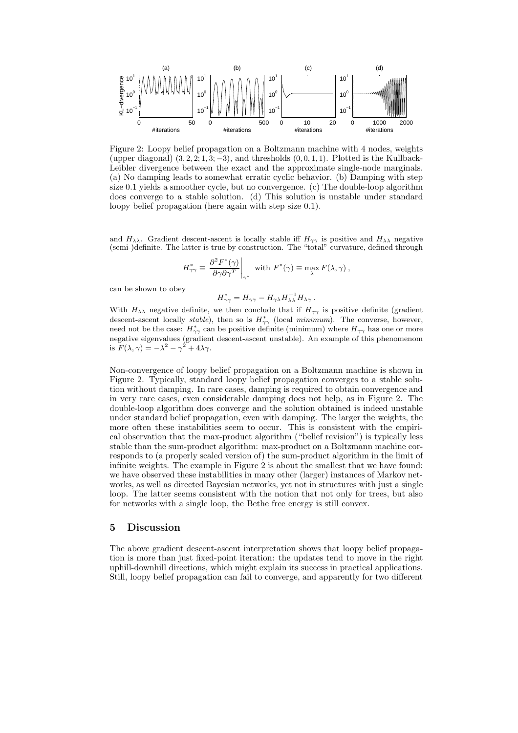

Figure 2: Loopy belief propagation on a Boltzmann machine with 4 nodes, weights (upper diagonal)  $(3, 2, 2; 1, 3; -3)$ , and thresholds  $(0, 0, 1, 1)$ . Plotted is the Kullback-Leibler divergence between the exact and the approximate single-node marginals. (a) No damping leads to somewhat erratic cyclic behavior. (b) Damping with step size 0.1 yields a smoother cycle, but no convergence. (c) The double-loop algorithm does converge to a stable solution. (d) This solution is unstable under standard loopy belief propagation (here again with step size 0.1).

and  $H_{\lambda\lambda}$ . Gradient descent-ascent is locally stable iff  $H_{\gamma\gamma}$  is positive and  $H_{\lambda\lambda}$  negative (semi-)definite. The latter is true by construction. The "total" curvature, defined through

$$
H^*_{\gamma\gamma} \equiv \left. \frac{\partial^2 F^*(\gamma)}{\partial \gamma \partial \gamma^T} \right|_{\gamma^*} \text{ with } F^*(\gamma) \equiv \max_{\lambda} F(\lambda, \gamma) ,
$$

can be shown to obey

$$
H^*_{\gamma\gamma} = H_{\gamma\gamma} - H_{\gamma\lambda} H_{\lambda\lambda}^{-1} H_{\lambda\gamma} .
$$

With  $H_{\lambda\lambda}$  negative definite, we then conclude that if  $H_{\gamma\gamma}$  is positive definite (gradient descent-ascent locally stable), then so is  $H^*_{\gamma\gamma}$  (local minimum). The converse, however, need not be the case:  $H_{\gamma\gamma}^*$  can be positive definite (minimum) where  $H_{\gamma\gamma}$  has one or more negative eigenvalues (gradient descent-ascent unstable). An example of this phenomenom is  $F(\lambda, \gamma) = -\lambda^2 - \gamma^2 + 4\lambda\gamma$ .

Non-convergence of loopy belief propagation on a Boltzmann machine is shown in Figure 2. Typically, standard loopy belief propagation converges to a stable solution without damping. In rare cases, damping is required to obtain convergence and in very rare cases, even considerable damping does not help, as in Figure 2. The double-loop algorithm does converge and the solution obtained is indeed unstable under standard belief propagation, even with damping. The larger the weights, the more often these instabilities seem to occur. This is consistent with the empirical observation that the max-product algorithm ("belief revision") is typically less stable than the sum-product algorithm: max-product on a Boltzmann machine corresponds to (a properly scaled version of) the sum-product algorithm in the limit of infinite weights. The example in Figure 2 is about the smallest that we have found: we have observed these instabilities in many other (larger) instances of Markov networks, as well as directed Bayesian networks, yet not in structures with just a single loop. The latter seems consistent with the notion that not only for trees, but also for networks with a single loop, the Bethe free energy is still convex.

## 5 Discussion

The above gradient descent-ascent interpretation shows that loopy belief propagation is more than just fixed-point iteration: the updates tend to move in the right uphill-downhill directions, which might explain its success in practical applications. Still, loopy belief propagation can fail to converge, and apparently for two different